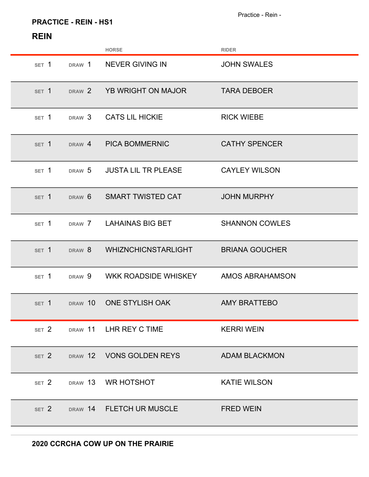## **PRACTICE - REIN - HS1**

|                  |                   | <b>HORSE</b>                   | <b>RIDER</b>                 |
|------------------|-------------------|--------------------------------|------------------------------|
| SET 1            | DRAW 1            | <b>NEVER GIVING IN</b>         | <b>JOHN SWALES</b>           |
| SET 1            | DRAW 2            | YB WRIGHT ON MAJOR             | <b>TARA DEBOER</b>           |
| SET 1            | DRAW <sub>3</sub> | <b>CATS LIL HICKIE</b>         | <b>RICK WIEBE</b>            |
| SET 1            | DRAW 4            | <b>PICA BOMMERNIC</b>          | <b>CATHY SPENCER</b>         |
| SET 1            | DRAW 5            | <b>JUSTA LIL TR PLEASE</b>     | <b>CAYLEY WILSON</b>         |
| SET 1            | DRAW <sub>6</sub> | <b>SMART TWISTED CAT</b>       | <b>JOHN MURPHY</b>           |
| SET 1            | DRAW 7            | <b>LAHAINAS BIG BET</b>        | <b>SHANNON COWLES</b>        |
| SET 1            | DRAW 8            | <b>WHIZNCHICNSTARLIGHT</b>     | <b>BRIANA GOUCHER</b>        |
| SET 1            | DRAW 9            | WKK ROADSIDE WHISKEY           | <b>AMOS ABRAHAMSON</b>       |
| SET <sub>1</sub> | DRAW 10           | <b>ONE STYLISH OAK</b>         | <b>AMY BRATTEBO</b>          |
|                  |                   | SET 2 DRAW 11 LHR REY C TIME   | <b>KERRI WEIN</b>            |
|                  |                   | SET 2 DRAW 12 VONS GOLDEN REYS | <b>EXAMPLE ADAM BLACKMON</b> |
| SET 2            |                   | DRAW 13 WR HOTSHOT             | <b>KATIE WILSON</b>          |
| SET 2            |                   | DRAW 14 FLETCH UR MUSCLE       | <b>FRED WEIN</b>             |
|                  |                   |                                |                              |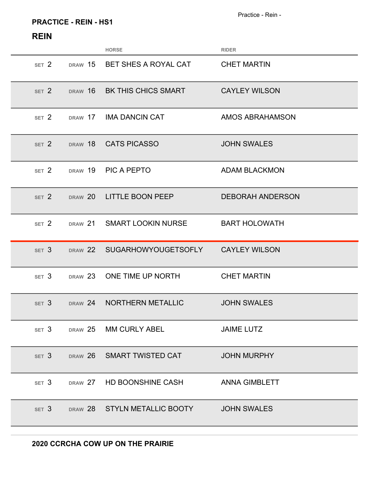### **PRACTICE - REIN - HS1**

|                  |         | <b>HORSE</b>                              | <b>RIDER</b>            |
|------------------|---------|-------------------------------------------|-------------------------|
| SET 2            |         | DRAW 15 BET SHES A ROYAL CAT              | <b>CHET MARTIN</b>      |
| SET <sub>2</sub> | DRAW 16 | <b>BK THIS CHICS SMART</b>                | <b>CAYLEY WILSON</b>    |
| SET 2            | DRAW 17 | IMA DANCIN CAT                            | <b>AMOS ABRAHAMSON</b>  |
| SET <sub>2</sub> |         | DRAW 18 CATS PICASSO                      | <b>JOHN SWALES</b>      |
| SET <sub>2</sub> | DRAW 19 | <b>PIC A PEPTO</b>                        | <b>ADAM BLACKMON</b>    |
| SET <sub>2</sub> |         | DRAW 20 LITTLE BOON PEEP                  | <b>DEBORAH ANDERSON</b> |
| SET <sub>2</sub> |         | DRAW 21 SMART LOOKIN NURSE                | <b>BART HOLOWATH</b>    |
|                  |         |                                           |                         |
| SET <sub>3</sub> |         | DRAW 22 SUGARHOWYOUGETSOFLY CAYLEY WILSON |                         |
| SET <sub>3</sub> | DRAW 23 | ONE TIME UP NORTH                         | <b>CHET MARTIN</b>      |
| SET <sub>3</sub> | DRAW 24 | NORTHERN METALLIC                         | <b>JOHN SWALES</b>      |
|                  |         | SET 3 DRAW 25 MM CURLY ABEL               | <b>JAIME LUTZ</b>       |
|                  |         | SET 3 DRAW 26 SMART TWISTED CAT           | <b>JOHN MURPHY</b>      |
|                  |         | SET 3 DRAW 27 HD BOONSHINE CASH           | ANNA GIMBLETT           |
|                  |         | SET 3 DRAW 28 STYLN METALLIC BOOTY        | <b>JOHN SWALES</b>      |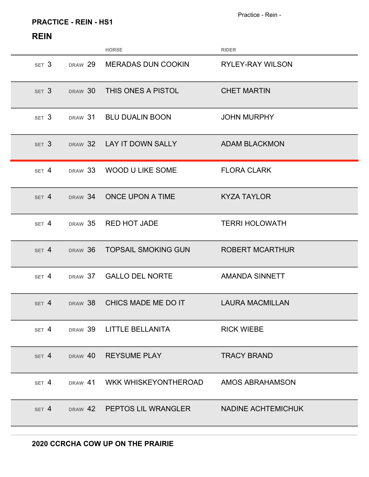### **PRACTICE - REIN - HS1**

|                  |         | <b>HORSE</b>                                   | <b>RIDER</b>            |
|------------------|---------|------------------------------------------------|-------------------------|
| SET <sub>3</sub> | DRAW 29 | <b>MERADAS DUN COOKIN</b>                      | <b>RYLEY-RAY WILSON</b> |
| SET <sub>3</sub> | DRAW 30 | THIS ONES A PISTOL                             | <b>CHET MARTIN</b>      |
| SET <sub>3</sub> |         | DRAW 31 BLU DUALIN BOON                        | <b>JOHN MURPHY</b>      |
| SET <sub>3</sub> | DRAW 32 | LAY IT DOWN SALLY                              | <b>ADAM BLACKMON</b>    |
| SET 4            |         | DRAW 33 WOOD U LIKE SOME                       | <b>FLORA CLARK</b>      |
| SET 4            |         | DRAW 34 ONCE UPON A TIME                       | <b>KYZA TAYLOR</b>      |
| SET 4            | DRAW 35 | <b>RED HOT JADE</b>                            | <b>TERRI HOLOWATH</b>   |
| SET 4            | DRAW 36 | <b>TOPSAIL SMOKING GUN</b>                     | <b>ROBERT MCARTHUR</b>  |
| SET 4            |         | DRAW 37 GALLO DEL NORTE                        | <b>AMANDA SINNETT</b>   |
| SET 4            | DRAW 38 | CHICS MADE ME DO IT                            | <b>LAURA MACMILLAN</b>  |
| SET 4            |         | DRAW 39 LITTLE BELLANITA                       | <b>RICK WIEBE</b>       |
|                  |         | SET 4 DRAW 40 REYSUME PLAY                     | <b>TRACY BRAND</b>      |
| SET 4            | DRAW 41 | WKK WHISKEYONTHEROAD                           | AMOS ABRAHAMSON         |
| SET 4            |         | DRAW 42 PEPTOS LIL WRANGLER NADINE ACHTEMICHUK |                         |
|                  |         |                                                |                         |